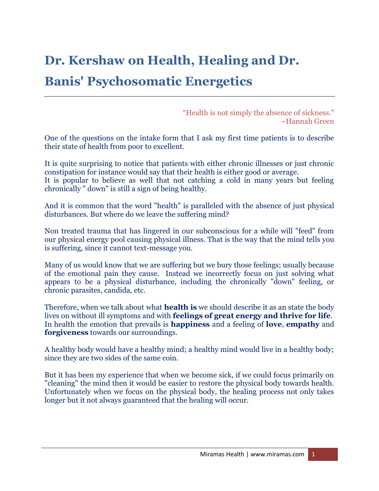## **Dr. Kershaw on Health, Healing and Dr. Banis' Psychosomatic Energetics**

"Health is not simply the absence of sickness." ~Hannah Green

One of the questions on the intake form that I ask my first time patients is to describe their state of health from poor to excellent.

It is quite surprising to notice that patients with either chronic illnesses or just chronic constipation for instance would say that their health is either good or average. It is popular to believe as well that not catching a cold in many years but feeling chronically " down" is still a sign of being healthy.

And it is common that the word "health" is paralleled with the absence of just physical disturbances. But where do we leave the suffering mind?

Non treated trauma that has lingered in our subconscious for a while will "feed" from our physical energy pool causing physical illness. That is the way that the mind tells you is suffering, since it cannot text-message you.

Many of us would know that we are suffering but we bury those feelings; usually because of the emotional pain they cause. Instead we incorrectly focus on just solving what appears to be a physical disturbance, including the chronically "down" feeling, or chronic parasites, candida, etc.

Therefore, when we talk about what **health is** we should describe it as an state the body lives on without ill symptoms and with **feelings of great energy and thrive for life**. In health the emotion that prevails is **happiness** and a feeling of **love**, **empathy** and **forgiveness** towards our surroundings.

A healthy body would have a healthy mind; a healthy mind would live in a healthy body; since they are two sides of the same coin.

But it has been my experience that when we become sick, if we could focus primarily on "cleaning" the mind then it would be easier to restore the physical body towards health. Unfortunately when we focus on the physical body, the healing process not only takes longer but it not always guaranteed that the healing will occur.